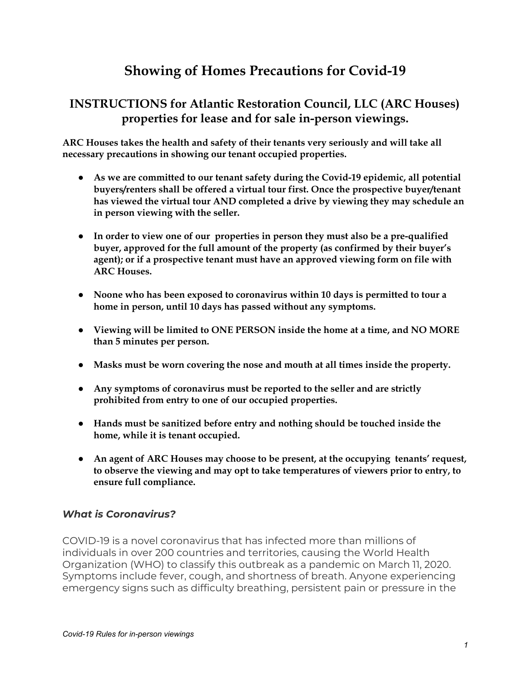# **Showing of Homes Precautions for Covid-19**

## **INSTRUCTIONS for Atlantic Restoration Council, LLC (ARC Houses) properties for lease and for sale in-person viewings.**

**ARC Houses takes the health and safety of their tenants very seriously and will take all necessary precautions in showing our tenant occupied properties.**

- **● As we are committed to our tenant safety during the Covid-19 epidemic, all potential buyers/renters shall be offered a virtual tour first. Once the prospective buyer/tenant has viewed the virtual tour AND completed a drive by viewing they may schedule an in person viewing with the seller.**
- **● In order to view one of our properties in person they must also be a pre-qualified buyer, approved for the full amount of the property (as confirmed by their buyer's agent); or if a prospective tenant must have an approved viewing form on file with ARC Houses.**
- **● Noone who has been exposed to coronavirus within 10 days is permitted to tour a home in person, until 10 days has passed without any symptoms.**
- **● Viewing will be limited to ONE PERSON inside the home at a time, and NO MORE than 5 minutes per person.**
- **● Masks must be worn covering the nose and mouth at all times inside the property.**
- **● Any symptoms of coronavirus must be reported to the seller and are strictly prohibited from entry to one of our occupied properties.**
- **● Hands must be sanitized before entry and nothing should be touched inside the home, while it is tenant occupied.**
- **● An agent of ARC Houses may choose to be present, at the occupying tenants' request, to observe the viewing and may opt to take temperatures of viewers prior to entry, to ensure full compliance.**

### *What is Coronavirus?*

COVID-19 is a novel coronavirus that has infected more than millions of individuals in over 200 countries and territories, causing the World Health Organization (WHO) to classify this outbreak as a pandemic on March 11, 2020. Symptoms include fever, cough, and shortness of breath. Anyone experiencing emergency signs such as difficulty breathing, persistent pain or pressure in the